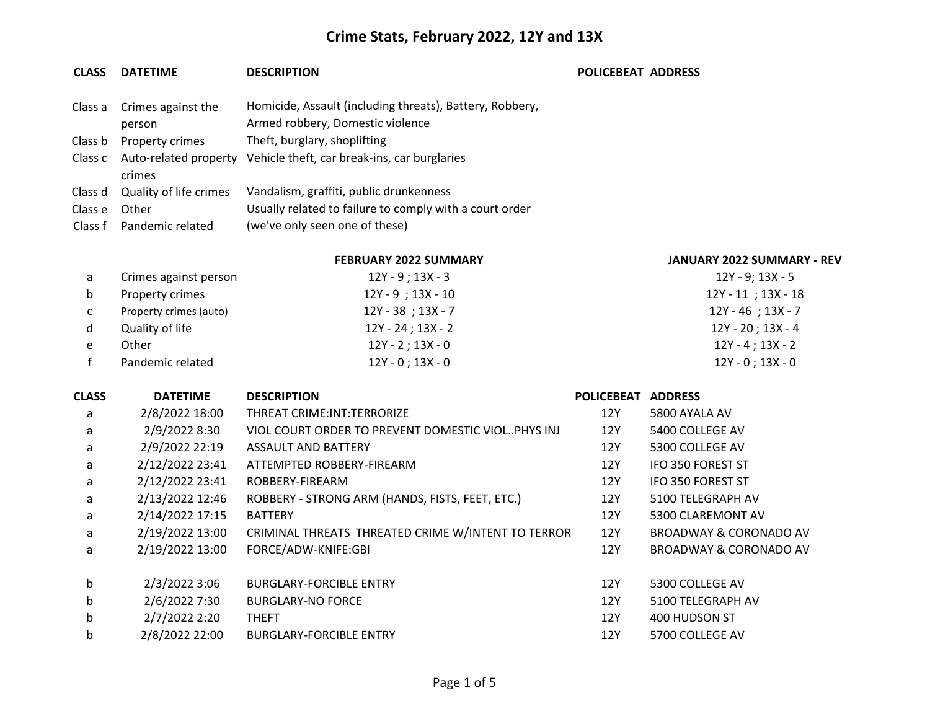### **CLASS DATETIME DESCRIPTION POLICEBEAT ADDRESS**

|         | Class a Crimes against the     | Homicide, Assault (including threats), Battery, Robbery, |
|---------|--------------------------------|----------------------------------------------------------|
|         | person                         | Armed robbery, Domestic violence                         |
| Class b | <b>Property crimes</b>         | Theft, burglary, shoplifting                             |
|         | Class c Auto-related property  | Vehicle theft, car break-ins, car burglaries             |
|         | crimes                         |                                                          |
|         | Class d Quality of life crimes | Vandalism, graffiti, public drunkenness                  |
| Class e | Other                          | Usually related to failure to comply with a court order  |
|         | Class f Pandemic related       | (we've only seen one of these)                           |

### **FEBRUARY 2022 SUMMARY JANUARY 2022 SUMMARY - REV**

| a   | Crimes against person  | 12Y - 9 ; 13X - 3      | 12Y - 9; 13X - 5      |
|-----|------------------------|------------------------|-----------------------|
| b   | Property crimes        | $12Y - 9$ ; $13X - 10$ | 12Y - 11 ; 13X - 18   |
| C – | Property crimes (auto) | $12Y - 38$ ; 13X - 7   | 12Y - 46; 13X - 7     |
| d   | Quality of life        | $12Y - 24$ ; 13X - 2   | 12Y - 20 ; 13X - 4    |
| e   | Other                  | $12Y - 2$ ; 13X - 0    | 12Y - 4 : 13X - 2     |
|     | Pandemic related       | $12Y - 0$ ; $13X - 0$  | $12Y - 0$ ; $13X - 0$ |

### **CLASS DATETIME DESCRIPTION POLICEBEAT ADDRESS**

| a | 2/8/2022 18:00  | THREAT CRIME: INT: TERRORIZE                        | 12Y | 5800 AYALA AV                     |
|---|-----------------|-----------------------------------------------------|-----|-----------------------------------|
| a | 2/9/2022 8:30   | VIOL COURT ORDER TO PREVENT DOMESTIC VIOL. PHYS INJ | 12Y | 5400 COLLEGE AV                   |
| a | 2/9/2022 22:19  | ASSAULT AND BATTERY                                 | 12Y | 5300 COLLEGE AV                   |
| a | 2/12/2022 23:41 | ATTEMPTED ROBBERY-FIREARM                           | 12Y | <b>IFO 350 FOREST ST</b>          |
| a | 2/12/2022 23:41 | ROBBERY-FIREARM                                     | 12Y | <b>IFO 350 FOREST ST</b>          |
| a | 2/13/2022 12:46 | ROBBERY - STRONG ARM (HANDS, FISTS, FEET, ETC.)     | 12Y | 5100 TELEGRAPH AV                 |
| a | 2/14/2022 17:15 | <b>BATTERY</b>                                      | 12Y | 5300 CLAREMONT AV                 |
| a | 2/19/2022 13:00 | CRIMINAL THREATS THREATED CRIME W/INTENT TO TERRORI | 12Y | BROADWAY & CORONADO AV            |
| a | 2/19/2022 13:00 | FORCE/ADW-KNIFE:GBI                                 | 12Y | <b>BROADWAY &amp; CORONADO AV</b> |
|   |                 |                                                     |     |                                   |
| b | 2/3/2022 3:06   | <b>BURGLARY-FORCIBLE ENTRY</b>                      | 12Y | 5300 COLLEGE AV                   |
| b | 2/6/2022 7:30   | <b>BURGLARY-NO FORCE</b>                            | 12Y | 5100 TELEGRAPH AV                 |
| b | 2/7/2022 2:20   | <b>THEFT</b>                                        | 12Y | 400 HUDSON ST                     |
| b | 2/8/2022 22:00  | <b>BURGLARY-FORCIBLE ENTRY</b>                      | 12Y | 5700 COLLEGE AV                   |
|   |                 |                                                     |     |                                   |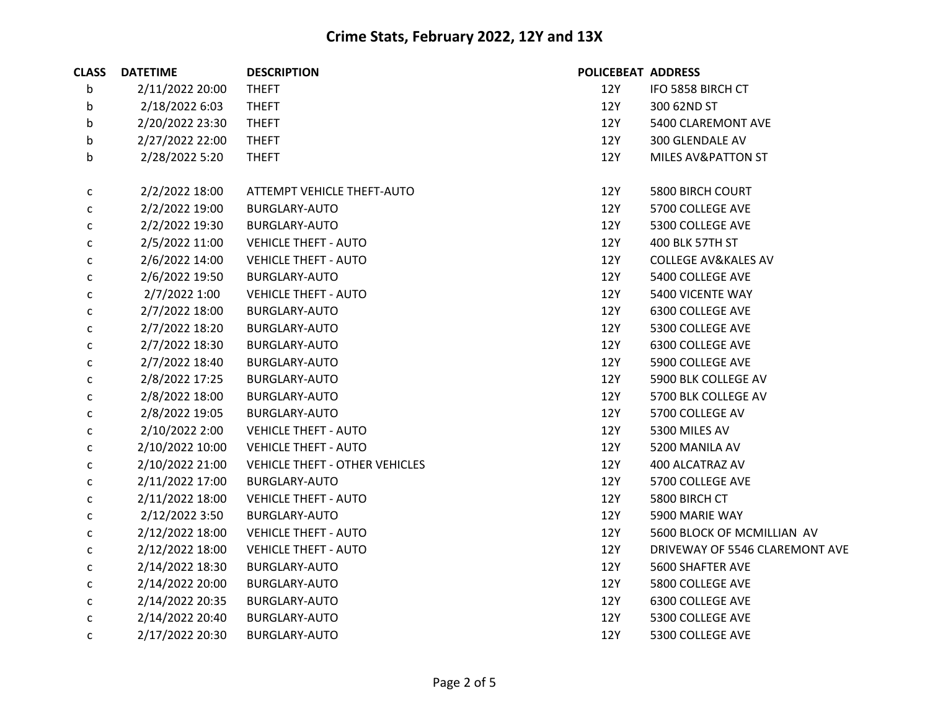| <b>CLASS</b> | <b>DATETIME</b> | <b>DESCRIPTION</b>             | POLICEBEAT ADDRESS |                                |
|--------------|-----------------|--------------------------------|--------------------|--------------------------------|
| b            | 2/11/2022 20:00 | <b>THEFT</b>                   | <b>12Y</b>         | IFO 5858 BIRCH CT              |
| b            | 2/18/2022 6:03  | <b>THEFT</b>                   | 12Y                | 300 62ND ST                    |
| b            | 2/20/2022 23:30 | <b>THEFT</b>                   | 12Y                | 5400 CLAREMONT AVE             |
| b            | 2/27/2022 22:00 | <b>THEFT</b>                   | 12Y                | 300 GLENDALE AV                |
| b            | 2/28/2022 5:20  | <b>THEFT</b>                   | 12Y                | <b>MILES AV&amp;PATTON ST</b>  |
| $\mathsf{C}$ | 2/2/2022 18:00  | ATTEMPT VEHICLE THEFT-AUTO     | 12Y                | 5800 BIRCH COURT               |
| $\mathsf{C}$ | 2/2/2022 19:00  | <b>BURGLARY-AUTO</b>           | 12Y                | 5700 COLLEGE AVE               |
| С            | 2/2/2022 19:30  | BURGLARY-AUTO                  | 12Y                | 5300 COLLEGE AVE               |
| $\mathsf{C}$ | 2/5/2022 11:00  | <b>VEHICLE THEFT - AUTO</b>    | 12Y                | 400 BLK 57TH ST                |
| $\mathsf{C}$ | 2/6/2022 14:00  | <b>VEHICLE THEFT - AUTO</b>    | 12Y                | <b>COLLEGE AV&amp;KALES AV</b> |
| c            | 2/6/2022 19:50  | BURGLARY-AUTO                  | 12Y                | 5400 COLLEGE AVE               |
| $\mathsf{C}$ | 2/7/2022 1:00   | <b>VEHICLE THEFT - AUTO</b>    | 12Y                | 5400 VICENTE WAY               |
| $\mathsf{C}$ | 2/7/2022 18:00  | BURGLARY-AUTO                  | 12Y                | 6300 COLLEGE AVE               |
| С            | 2/7/2022 18:20  | BURGLARY-AUTO                  | 12Y                | 5300 COLLEGE AVE               |
| $\mathsf{C}$ | 2/7/2022 18:30  | BURGLARY-AUTO                  | 12Y                | 6300 COLLEGE AVE               |
| С            | 2/7/2022 18:40  | <b>BURGLARY-AUTO</b>           | 12Y                | 5900 COLLEGE AVE               |
| с            | 2/8/2022 17:25  | BURGLARY-AUTO                  | 12Y                | 5900 BLK COLLEGE AV            |
| $\mathsf{C}$ | 2/8/2022 18:00  | BURGLARY-AUTO                  | 12Y                | 5700 BLK COLLEGE AV            |
| С            | 2/8/2022 19:05  | BURGLARY-AUTO                  | 12Y                | 5700 COLLEGE AV                |
| С            | 2/10/2022 2:00  | <b>VEHICLE THEFT - AUTO</b>    | 12Y                | 5300 MILES AV                  |
| С            | 2/10/2022 10:00 | <b>VEHICLE THEFT - AUTO</b>    | 12Y                | 5200 MANILA AV                 |
| С            | 2/10/2022 21:00 | VEHICLE THEFT - OTHER VEHICLES | 12Y                | 400 ALCATRAZ AV                |
| С            | 2/11/2022 17:00 | BURGLARY-AUTO                  | 12Y                | 5700 COLLEGE AVE               |
| $\mathsf{C}$ | 2/11/2022 18:00 | <b>VEHICLE THEFT - AUTO</b>    | 12Y                | 5800 BIRCH CT                  |
| c            | 2/12/2022 3:50  | BURGLARY-AUTO                  | 12Y                | 5900 MARIE WAY                 |
| $\mathsf{C}$ | 2/12/2022 18:00 | <b>VEHICLE THEFT - AUTO</b>    | 12Y                | 5600 BLOCK OF MCMILLIAN AV     |
| $\mathsf{C}$ | 2/12/2022 18:00 | <b>VEHICLE THEFT - AUTO</b>    | 12Y                | DRIVEWAY OF 5546 CLAREMONT AVE |
| С            | 2/14/2022 18:30 | BURGLARY-AUTO                  | 12Y                | 5600 SHAFTER AVE               |
| С            | 2/14/2022 20:00 | BURGLARY-AUTO                  | 12Y                | 5800 COLLEGE AVE               |
| С            | 2/14/2022 20:35 | BURGLARY-AUTO                  | 12Y                | 6300 COLLEGE AVE               |
| $\mathsf{C}$ | 2/14/2022 20:40 | BURGLARY-AUTO                  | 12Y                | 5300 COLLEGE AVE               |
| $\mathsf{C}$ | 2/17/2022 20:30 | <b>BURGLARY-AUTO</b>           | 12Y                | 5300 COLLEGE AVE               |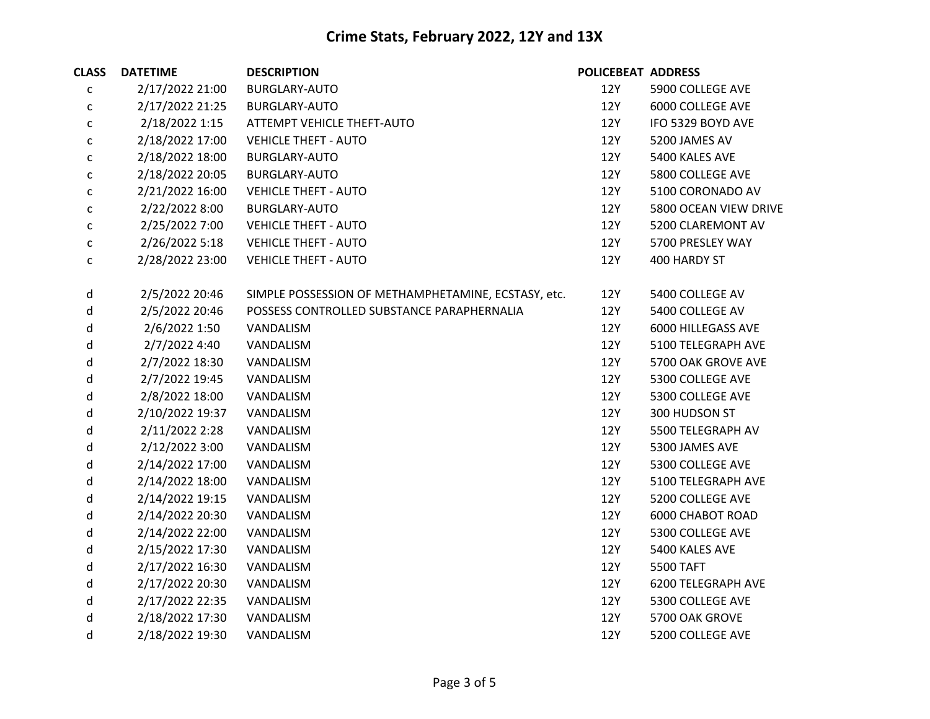| <b>CLASS</b> | <b>DATETIME</b> | <b>DESCRIPTION</b>                                  | <b>POLICEBEAT ADDRESS</b> |                         |
|--------------|-----------------|-----------------------------------------------------|---------------------------|-------------------------|
| $\mathsf{C}$ | 2/17/2022 21:00 | <b>BURGLARY-AUTO</b>                                | 12Y                       | 5900 COLLEGE AVE        |
| c            | 2/17/2022 21:25 | <b>BURGLARY-AUTO</b>                                | 12Y                       | 6000 COLLEGE AVE        |
| c            | 2/18/2022 1:15  | ATTEMPT VEHICLE THEFT-AUTO                          | 12Y                       | IFO 5329 BOYD AVE       |
| $\mathsf{C}$ | 2/18/2022 17:00 | <b>VEHICLE THEFT - AUTO</b>                         | 12Y                       | 5200 JAMES AV           |
| $\mathsf{C}$ | 2/18/2022 18:00 | <b>BURGLARY-AUTO</b>                                | 12Y                       | 5400 KALES AVE          |
| $\mathsf{C}$ | 2/18/2022 20:05 | <b>BURGLARY-AUTO</b>                                | <b>12Y</b>                | 5800 COLLEGE AVE        |
| $\mathsf{C}$ | 2/21/2022 16:00 | <b>VEHICLE THEFT - AUTO</b>                         | 12Y                       | 5100 CORONADO AV        |
| $\mathsf{C}$ | 2/22/2022 8:00  | <b>BURGLARY-AUTO</b>                                | 12Y                       | 5800 OCEAN VIEW DRIVE   |
| $\mathsf{C}$ | 2/25/2022 7:00  | <b>VEHICLE THEFT - AUTO</b>                         | 12Y                       | 5200 CLAREMONT AV       |
| C            | 2/26/2022 5:18  | <b>VEHICLE THEFT - AUTO</b>                         | 12Y                       | 5700 PRESLEY WAY        |
| $\mathsf{C}$ | 2/28/2022 23:00 | <b>VEHICLE THEFT - AUTO</b>                         | 12Y                       | 400 HARDY ST            |
| d            | 2/5/2022 20:46  | SIMPLE POSSESSION OF METHAMPHETAMINE, ECSTASY, etc. | 12Y                       | 5400 COLLEGE AV         |
| d            | 2/5/2022 20:46  | POSSESS CONTROLLED SUBSTANCE PARAPHERNALIA          | <b>12Y</b>                | 5400 COLLEGE AV         |
| d            | 2/6/2022 1:50   | VANDALISM                                           | 12Y                       | 6000 HILLEGASS AVE      |
| d            | 2/7/2022 4:40   | VANDALISM                                           | 12Y                       | 5100 TELEGRAPH AVE      |
| d            | 2/7/2022 18:30  | VANDALISM                                           | 12Y                       | 5700 OAK GROVE AVE      |
| d            | 2/7/2022 19:45  | VANDALISM                                           | 12Y                       | 5300 COLLEGE AVE        |
| d            | 2/8/2022 18:00  | VANDALISM                                           | 12Y                       | 5300 COLLEGE AVE        |
| d            | 2/10/2022 19:37 | VANDALISM                                           | 12Y                       | 300 HUDSON ST           |
| d            | 2/11/2022 2:28  | VANDALISM                                           | 12Y                       | 5500 TELEGRAPH AV       |
| d            | 2/12/2022 3:00  | VANDALISM                                           | <b>12Y</b>                | 5300 JAMES AVE          |
| d            | 2/14/2022 17:00 | VANDALISM                                           | 12Y                       | 5300 COLLEGE AVE        |
| d            | 2/14/2022 18:00 | VANDALISM                                           | 12Y                       | 5100 TELEGRAPH AVE      |
| d            | 2/14/2022 19:15 | VANDALISM                                           | <b>12Y</b>                | 5200 COLLEGE AVE        |
| d            | 2/14/2022 20:30 | VANDALISM                                           | <b>12Y</b>                | <b>6000 CHABOT ROAD</b> |
| d            | 2/14/2022 22:00 | VANDALISM                                           | 12Y                       | 5300 COLLEGE AVE        |
| d            | 2/15/2022 17:30 | VANDALISM                                           | 12Y                       | 5400 KALES AVE          |
| d            | 2/17/2022 16:30 | VANDALISM                                           | 12Y                       | 5500 TAFT               |
| d            | 2/17/2022 20:30 | VANDALISM                                           | <b>12Y</b>                | 6200 TELEGRAPH AVE      |
| d            | 2/17/2022 22:35 | VANDALISM                                           | 12Y                       | 5300 COLLEGE AVE        |
| d            | 2/18/2022 17:30 | VANDALISM                                           | 12Y                       | 5700 OAK GROVE          |
| d            | 2/18/2022 19:30 | VANDALISM                                           | 12Y                       | 5200 COLLEGE AVE        |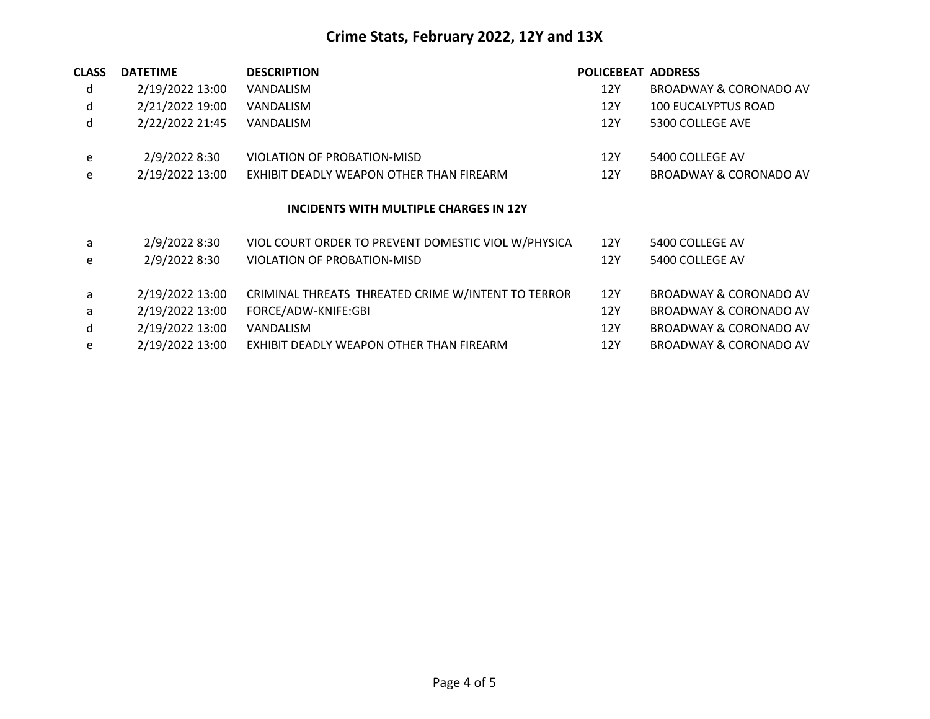| <b>CLASS</b> | <b>DATETIME</b>                        | <b>DESCRIPTION</b>                                  | <b>POLICEBEAT ADDRESS</b> |                                   |  |  |  |
|--------------|----------------------------------------|-----------------------------------------------------|---------------------------|-----------------------------------|--|--|--|
| d            | 2/19/2022 13:00                        | VANDALISM                                           | 12Y                       | BROADWAY & CORONADO AV            |  |  |  |
| d            | 2/21/2022 19:00                        | VANDALISM                                           | 12Y                       | <b>100 EUCALYPTUS ROAD</b>        |  |  |  |
| d            | 2/22/2022 21:45                        | VANDALISM                                           | 12Y                       | 5300 COLLEGE AVE                  |  |  |  |
| e            | 2/9/2022 8:30                          | VIOLATION OF PROBATION-MISD                         | 12Y                       | 5400 COLLEGE AV                   |  |  |  |
| e            | 2/19/2022 13:00                        | EXHIBIT DEADLY WEAPON OTHER THAN FIREARM            | 12Y                       | <b>BROADWAY &amp; CORONADO AV</b> |  |  |  |
|              | INCIDENTS WITH MULTIPLE CHARGES IN 12Y |                                                     |                           |                                   |  |  |  |
| a            | 2/9/2022 8:30                          | VIOL COURT ORDER TO PREVENT DOMESTIC VIOL W/PHYSICA | 12Y                       | 5400 COLLEGE AV                   |  |  |  |
| e            | 2/9/2022 8:30                          | VIOLATION OF PROBATION-MISD                         | 12Y                       | 5400 COLLEGE AV                   |  |  |  |
| a            | 2/19/2022 13:00                        | CRIMINAL THREATS THREATED CRIME W/INTENT TO TERRORI | 12Y                       | BROADWAY & CORONADO AV            |  |  |  |
| a            | 2/19/2022 13:00                        | FORCE/ADW-KNIFE:GBI                                 | 12Y                       | <b>BROADWAY &amp; CORONADO AV</b> |  |  |  |
| d            | 2/19/2022 13:00                        | VANDALISM                                           | 12Y                       | BROADWAY & CORONADO AV            |  |  |  |
| e            | 2/19/2022 13:00                        | EXHIBIT DEADLY WEAPON OTHER THAN FIREARM            | 12Y                       | <b>BROADWAY &amp; CORONADO AV</b> |  |  |  |